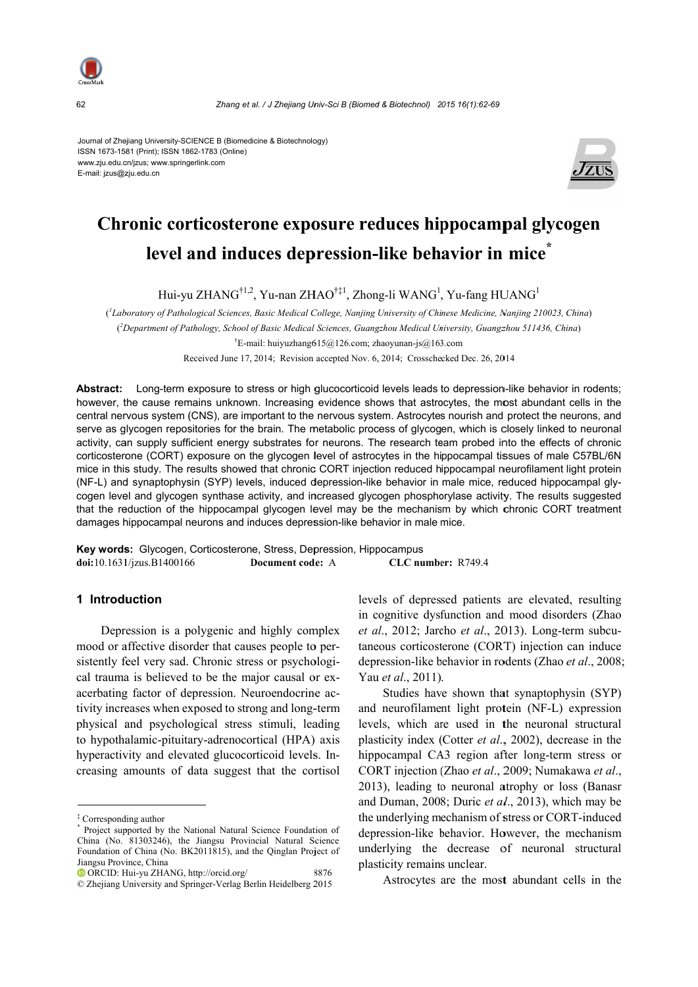

62

Zhang et al. / J Zhejiang Univ-Sci B (Biomed & Biotechnol) 2015 16(1):62-69

Journal of Zhejiang University-SCIENCE B (Biomedicine & Biotechnology) ISSN 1673-1581 (Print); ISSN 1862-1783 (Online) www.zju.edu.cn/jzus; www.springerlink.com E-mail: jzus@zju.edu.cn



# Chronic corticosterone exposure reduces hippocampal glycogen level and induces depression-like behavior in mice<sup>\*</sup>

Hui-yu ZHANG<sup>†1,2</sup>, Yu-nan ZHAO<sup>†‡1</sup>, Zhong-li WANG<sup>1</sup>, Yu-fang HUANG<sup>1</sup>

(<sup>1</sup>Laboratory of Pathological Sciences, Basic Medical College, Nanjing University of Chinese Medicine, Nanjing 210023, China) (<sup>2</sup>Department of Pathology, School of Basic Medical Sciences, Guangzhou Medical University, Guangzhou 511436, China) <sup>†</sup>E-mail: huiyuzhang615@126.com; zhaoyunan-js@163.com

Received June 17, 2014; Revision accepted Nov. 6, 2014; Crosschecked Dec. 26, 2014

Abstract: Long-term exposure to stress or high glucocorticoid levels leads to depression-like behavior in rodents; however, the cause remains unknown. Increasing evidence shows that astrocytes, the most abundant cells in the central nervous system (CNS), are important to the nervous system. Astrocytes nourish and protect the neurons, and serve as glycogen repositories for the brain. The metabolic process of glycogen, which is closely linked to neuronal activity, can supply sufficient energy substrates for neurons. The research team probed into the effects of chronic corticosterone (CORT) exposure on the glycogen level of astrocytes in the hippocampal tissues of male C57BL/6N mice in this study. The results showed that chronic CORT injection reduced hippocampal neurofilament light protein (NF-L) and synaptophysin (SYP) levels, induced depression-like behavior in male mice, reduced hippocampal glycogen level and glycogen synthase activity, and increased glycogen phosphorylase activity. The results suggested that the reduction of the hippocampal glycogen level may be the mechanism by which chronic CORT treatment damages hippocampal neurons and induces depression-like behavior in male mice.

Key words: Glycogen, Corticosterone, Stress, Depression, Hippocampus doi:10.1631/jzus.B1400166 Document code: A CLC number: R749.4

## 1 Introduction

Depression is a polygenic and highly complex mood or affective disorder that causes people to persistently feel very sad. Chronic stress or psychological trauma is believed to be the major causal or exacerbating factor of depression. Neuroendocrine activity increases when exposed to strong and long-term physical and psychological stress stimuli, leading to hypothalamic-pituitary-adrenocortical (HPA) axis hyperactivity and elevated glucocorticoid levels. Increasing amounts of data suggest that the cortisol levels of depressed patients are elevated, resulting in cognitive dysfunction and mood disorders (Zhao et al., 2012; Jarcho et al., 2013). Long-term subcutaneous corticosterone (CORT) injection can induce depression-like behavior in rodents (Zhao et al., 2008; Yau et al., 2011).

Studies have shown that synaptophysin (SYP) and neurofilament light protein (NF-L) expression levels, which are used in the neuronal structural plasticity index (Cotter et al., 2002), decrease in the hippocampal CA3 region after long-term stress or CORT injection (Zhao et al., 2009; Numakawa et al., 2013), leading to neuronal atrophy or loss (Banasr and Duman, 2008; Duric et al., 2013), which may be the underlying mechanism of stress or CORT-induced depression-like behavior. However, the mechanism underlying the decrease of neuronal structural plasticity remains unclear.

Astrocytes are the most abundant cells in the

<sup>&</sup>lt;sup>‡</sup> Corresponding author

Project supported by the National Natural Science Foundation of China (No. 81303246), the Jiangsu Provincial Natural Science Foundation of China (No. BK2011815), and the Qinglan Project of Jiangsu Province, China

<sup>&</sup>lt;sup>D</sup> ORCID: Hui-yu ZHANG, http://orcid.org/ 3876

<sup>©</sup> Zhejiang University and Springer-Verlag Berlin Heidelberg 2015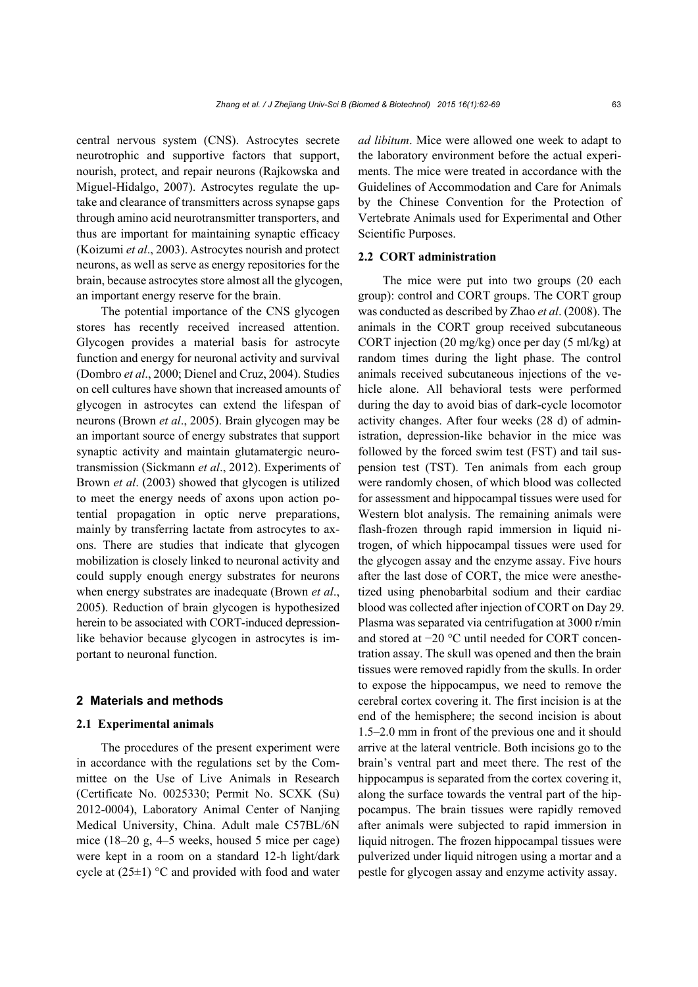central nervous system (CNS). Astrocytes secrete neurotrophic and supportive factors that support, nourish, protect, and repair neurons (Rajkowska and Miguel-Hidalgo, 2007). Astrocytes regulate the uptake and clearance of transmitters across synapse gaps through amino acid neurotransmitter transporters, and thus are important for maintaining synaptic efficacy (Koizumi *et al*., 2003). Astrocytes nourish and protect neurons, as well as serve as energy repositories for the brain, because astrocytes store almost all the glycogen, an important energy reserve for the brain.

The potential importance of the CNS glycogen stores has recently received increased attention. Glycogen provides a material basis for astrocyte function and energy for neuronal activity and survival (Dombro *et al*., 2000; Dienel and Cruz, 2004). Studies on cell cultures have shown that increased amounts of glycogen in astrocytes can extend the lifespan of neurons (Brown *et al*., 2005). Brain glycogen may be an important source of energy substrates that support synaptic activity and maintain glutamatergic neurotransmission (Sickmann *et al*., 2012). Experiments of Brown *et al*. (2003) showed that glycogen is utilized to meet the energy needs of axons upon action potential propagation in optic nerve preparations, mainly by transferring lactate from astrocytes to axons. There are studies that indicate that glycogen mobilization is closely linked to neuronal activity and could supply enough energy substrates for neurons when energy substrates are inadequate (Brown *et al*., 2005). Reduction of brain glycogen is hypothesized herein to be associated with CORT-induced depressionlike behavior because glycogen in astrocytes is important to neuronal function.

#### **2 Materials and methods**

## **2.1 Experimental animals**

The procedures of the present experiment were in accordance with the regulations set by the Committee on the Use of Live Animals in Research (Certificate No. 0025330; Permit No. SCXK (Su) 2012-0004), Laboratory Animal Center of Nanjing Medical University, China. Adult male C57BL/6N mice (18–20 g, 4–5 weeks, housed 5 mice per cage) were kept in a room on a standard 12-h light/dark cycle at  $(25\pm1)$  °C and provided with food and water

*ad libitum*. Mice were allowed one week to adapt to the laboratory environment before the actual experiments. The mice were treated in accordance with the Guidelines of Accommodation and Care for Animals by the Chinese Convention for the Protection of Vertebrate Animals used for Experimental and Other Scientific Purposes.

#### **2.2 CORT administration**

The mice were put into two groups (20 each group): control and CORT groups. The CORT group was conducted as described by Zhao *et al*. (2008). The animals in the CORT group received subcutaneous CORT injection (20 mg/kg) once per day (5 ml/kg) at random times during the light phase. The control animals received subcutaneous injections of the vehicle alone. All behavioral tests were performed during the day to avoid bias of dark-cycle locomotor activity changes. After four weeks (28 d) of administration, depression-like behavior in the mice was followed by the forced swim test (FST) and tail suspension test (TST). Ten animals from each group were randomly chosen, of which blood was collected for assessment and hippocampal tissues were used for Western blot analysis. The remaining animals were flash-frozen through rapid immersion in liquid nitrogen, of which hippocampal tissues were used for the glycogen assay and the enzyme assay. Five hours after the last dose of CORT, the mice were anesthetized using phenobarbital sodium and their cardiac blood was collected after injection of CORT on Day 29. Plasma was separated via centrifugation at 3000 r/min and stored at −20 °C until needed for CORT concentration assay. The skull was opened and then the brain tissues were removed rapidly from the skulls. In order to expose the hippocampus, we need to remove the cerebral cortex covering it. The first incision is at the end of the hemisphere; the second incision is about 1.5–2.0 mm in front of the previous one and it should arrive at the lateral ventricle. Both incisions go to the brain's ventral part and meet there. The rest of the hippocampus is separated from the cortex covering it, along the surface towards the ventral part of the hippocampus. The brain tissues were rapidly removed after animals were subjected to rapid immersion in liquid nitrogen. The frozen hippocampal tissues were pulverized under liquid nitrogen using a mortar and a pestle for glycogen assay and enzyme activity assay.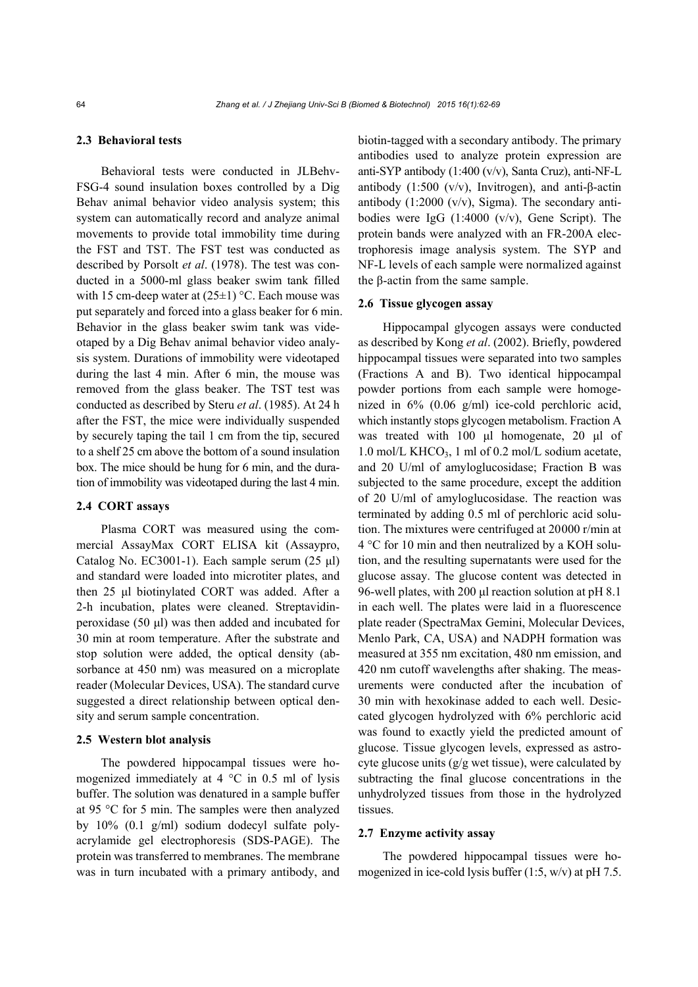#### **2.3 Behavioral tests**

Behavioral tests were conducted in JLBehv-FSG-4 sound insulation boxes controlled by a Dig Behav animal behavior video analysis system; this system can automatically record and analyze animal movements to provide total immobility time during the FST and TST. The FST test was conducted as described by Porsolt *et al*. (1978). The test was conducted in a 5000-ml glass beaker swim tank filled with 15 cm-deep water at  $(25\pm1)$  °C. Each mouse was put separately and forced into a glass beaker for 6 min. Behavior in the glass beaker swim tank was videotaped by a Dig Behav animal behavior video analysis system. Durations of immobility were videotaped during the last 4 min. After 6 min, the mouse was removed from the glass beaker. The TST test was conducted as described by Steru *et al*. (1985). At 24 h after the FST, the mice were individually suspended by securely taping the tail 1 cm from the tip, secured to a shelf 25 cm above the bottom of a sound insulation box. The mice should be hung for 6 min, and the duration of immobility was videotaped during the last 4 min.

### **2.4 CORT assays**

Plasma CORT was measured using the commercial AssayMax CORT ELISA kit (Assaypro, Catalog No. EC3001-1). Each sample serum (25 μl) and standard were loaded into microtiter plates, and then 25 μl biotinylated CORT was added. After a 2-h incubation, plates were cleaned. Streptavidinperoxidase (50 μl) was then added and incubated for 30 min at room temperature. After the substrate and stop solution were added, the optical density (absorbance at 450 nm) was measured on a microplate reader (Molecular Devices, USA). The standard curve suggested a direct relationship between optical density and serum sample concentration.

#### **2.5 Western blot analysis**

The powdered hippocampal tissues were homogenized immediately at 4 °C in 0.5 ml of lysis buffer. The solution was denatured in a sample buffer at 95 °C for 5 min. The samples were then analyzed by 10% (0.1 g/ml) sodium dodecyl sulfate polyacrylamide gel electrophoresis (SDS-PAGE). The protein was transferred to membranes. The membrane was in turn incubated with a primary antibody, and biotin-tagged with a secondary antibody. The primary antibodies used to analyze protein expression are anti-SYP antibody (1:400 (v/v), Santa Cruz), anti-NF-L antibody (1:500 (v/v), Invitrogen), and anti-β-actin antibody  $(1:2000 \text{ (v/v)}$ , Sigma). The secondary antibodies were IgG (1:4000 (v/v), Gene Script). The protein bands were analyzed with an FR-200A electrophoresis image analysis system. The SYP and NF-L levels of each sample were normalized against the β-actin from the same sample.

## **2.6 Tissue glycogen assay**

Hippocampal glycogen assays were conducted as described by Kong *et al*. (2002). Briefly, powdered hippocampal tissues were separated into two samples (Fractions A and B). Two identical hippocampal powder portions from each sample were homogenized in 6% (0.06 g/ml) ice-cold perchloric acid, which instantly stops glycogen metabolism. Fraction A was treated with 100 μl homogenate, 20 μl of 1.0 mol/L KHCO<sub>3</sub>, 1 ml of 0.2 mol/L sodium acetate, and 20 U/ml of amyloglucosidase; Fraction B was subjected to the same procedure, except the addition of 20 U/ml of amyloglucosidase. The reaction was terminated by adding 0.5 ml of perchloric acid solution. The mixtures were centrifuged at 20000 r/min at 4 °C for 10 min and then neutralized by a KOH solution, and the resulting supernatants were used for the glucose assay. The glucose content was detected in 96-well plates, with 200 μl reaction solution at pH 8.1 in each well. The plates were laid in a fluorescence plate reader (SpectraMax Gemini, Molecular Devices, Menlo Park, CA, USA) and NADPH formation was measured at 355 nm excitation, 480 nm emission, and 420 nm cutoff wavelengths after shaking. The measurements were conducted after the incubation of 30 min with hexokinase added to each well. Desiccated glycogen hydrolyzed with 6% perchloric acid was found to exactly yield the predicted amount of glucose. Tissue glycogen levels, expressed as astrocyte glucose units  $(g/g \text{ wet tissue})$ , were calculated by subtracting the final glucose concentrations in the unhydrolyzed tissues from those in the hydrolyzed tissues.

#### **2.7 Enzyme activity assay**

The powdered hippocampal tissues were homogenized in ice-cold lysis buffer (1:5, w/v) at pH 7.5.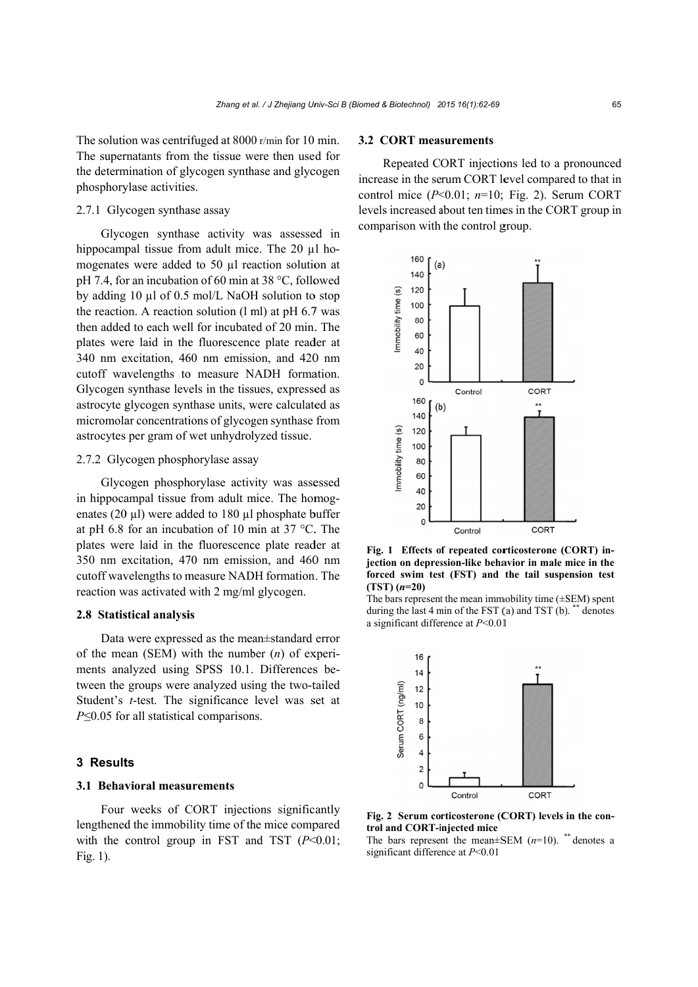The solution was centrifuged at 8000 r/min for 10 min. The supernatants from the tissue were then used for the determination of glycogen synthase and glycogen phosphorylase activities.

## 2.7.1 Glycogen synthase assay

Glycogen synthase activity was assessed in hippocampal tissue from adult mice. The 20 µl homogenates were added to 50 µl reaction solution at pH 7.4, for an incubation of 60 min at 38 °C, followed by adding 10 µl of 0.5 mol/L NaOH solution to stop the reaction. A reaction solution  $(l \text{ ml})$  at pH 6.7 was then added to each well for incubated of 20 min. The plates were laid in the fluorescence plate reader at 340 nm excitation, 460 nm emission, and 420 nm cutoff wavelengths to measure NADH formation. Glycogen synthase levels in the tissues, expressed as astrocyte glycogen synthase units, were calculated as micromolar concentrations of glycogen synthase from astrocytes per gram of wet unhydrolyzed tissue.

## 2.7.2 Glycogen phosphorylase assay

Glycogen phosphorylase activity was assessed in hippocampal tissue from adult mice. The homogenates (20  $\mu$ l) were added to 180  $\mu$ l phosphate buffer at pH 6.8 for an incubation of 10 min at 37  $^{\circ}$ C. The plates were laid in the fluorescence plate reader at 350 nm excitation, 470 nm emission, and 460 nm cutoff wavelengths to measure NADH formation. The reaction was activated with 2 mg/ml glycogen.

#### 2.8 Statistical analysis

Data were expressed as the mean±standard error of the mean (SEM) with the number  $(n)$  of experiments analyzed using SPSS 10.1. Differences between the groups were analyzed using the two-tailed Student's *t*-test. The significance level was set at  $P\leq 0.05$  for all statistical comparisons.

#### 3 Results

#### 3.1 Behavioral measurements

Four weeks of CORT injections significantly lengthened the immobility time of the mice compared with the control group in FST and TST  $(P<0.01$ ; Fig.  $1$ ).

## **3.2 CORT measurements**

Repeated CORT injections led to a pronounced increase in the serum CORT level compared to that in control mice  $(P<0.01; n=10; Fig. 2)$ . Serum CORT levels increased about ten times in the CORT group in comparison with the control group.



Fig. 1 Effects of repeated corticosterone (CORT) injection on depression-like behavior in male mice in the forced swim test (FST) and the tail suspension test  $(TST)$   $(n=20)$ 

The bars represent the mean immobility time  $(\pm$ SEM) spent during the last 4 min of the FST  $(a)$  and TST  $(b)$ .  $\ddot{\ }$  denotes a significant difference at  $P<0.01$ 



Fig. 2 Serum corticosterone (CORT) levels in the control and CORT-injected mice

The bars represent the mean $\pm$ SEM (n=10). \*\* denotes a significant difference at  $P<0.01$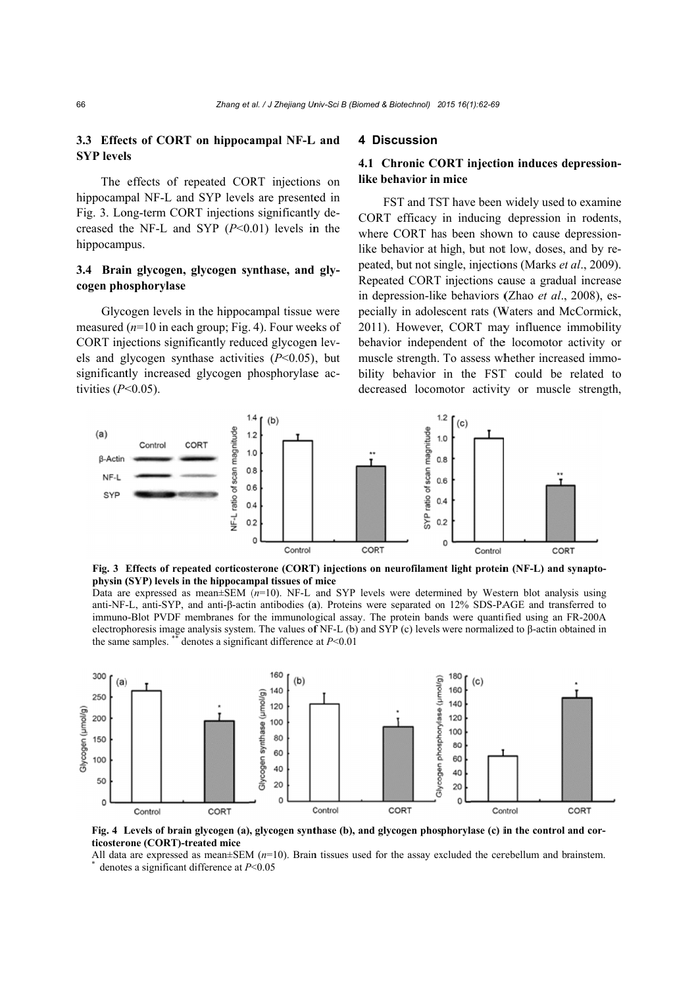## 3.3 Effects of CORT on hippocampal NF-L and **SYP** levels

The effects of repeated CORT injections on hippocampal NF-L and SYP levels are presented in Fig. 3. Long-term CORT injections significantly decreased the NF-L and SYP  $(P<0.01)$  levels in the hippocampus.

## 3.4 Brain glycogen, glycogen synthase, and glycogen phosphorylase

Glycogen levels in the hippocampal tissue were measured ( $n=10$  in each group; Fig. 4). Four weeks of CORT injections significantly reduced glycogen levels and glycogen synthase activities  $(P<0.05)$ , but significantly increased glycogen phosphorylase activities  $(P<0.05)$ .

#### 4 Discussion

## 4.1 Chronic CORT injection induces depressionlike behavior in mice

FST and TST have been widely used to examine CORT efficacy in inducing depression in rodents, where CORT has been shown to cause depressionlike behavior at high, but not low, doses, and by repeated, but not single, injections (Marks et al., 2009). Repeated CORT injections cause a gradual increase in depression-like behaviors (Zhao et al., 2008), especially in adolescent rats (Waters and McCormick, 2011). However, CORT may influence immobility behavior independent of the locomotor activity or muscle strength. To assess whether increased immobility behavior in the FST could be related to decreased locomotor activity or muscle strength,



Fig. 3 Effects of repeated corticosterone (CORT) injections on neurofilament light protein (NF-L) and synaptophysin (SYP) levels in the hippocampal tissues of mice

Data are expressed as mean $\pm$ SEM ( $n=10$ ). NF-L and SYP levels were determined by Western blot analysis using anti-NF-L, anti-SYP, and anti-β-actin antibodies (a). Proteins were separated on 12% SDS-PAGE and transferred to immuno-Blot PVDF membranes for the immunological assay. The protein bands were quantified using an FR-200A electrophoresis image analysis system. The values of NF-L (b) and SYP (c) levels were normalized to  $\beta$ -actin obtained in the same samples. denotes a significant difference at  $P<0.01$ 



Fig. 4 Levels of brain glycogen (a), glycogen synthase (b), and glycogen phosphorylase (c) in the control and corticosterone (CORT)-treated mice

All data are expressed as mean $\pm$ SEM ( $n=10$ ). Brain tissues used for the assay excluded the cerebellum and brainstem. denotes a significant difference at  $P<0.05$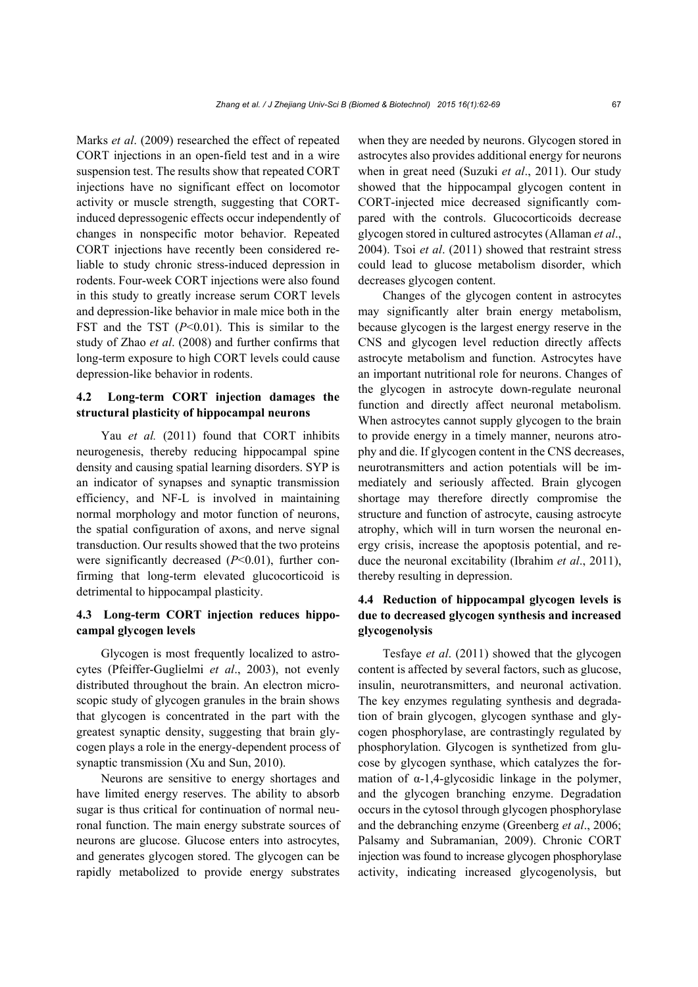Marks *et al*. (2009) researched the effect of repeated CORT injections in an open-field test and in a wire suspension test. The results show that repeated CORT injections have no significant effect on locomotor activity or muscle strength, suggesting that CORTinduced depressogenic effects occur independently of changes in nonspecific motor behavior. Repeated CORT injections have recently been considered reliable to study chronic stress-induced depression in rodents. Four-week CORT injections were also found in this study to greatly increase serum CORT levels and depression-like behavior in male mice both in the FST and the TST (*P*<0.01). This is similar to the study of Zhao *et al*. (2008) and further confirms that long-term exposure to high CORT levels could cause depression-like behavior in rodents.

## **4.2 Long-term CORT injection damages the structural plasticity of hippocampal neurons**

Yau *et al.* (2011) found that CORT inhibits neurogenesis, thereby reducing hippocampal spine density and causing spatial learning disorders. SYP is an indicator of synapses and synaptic transmission efficiency, and NF-L is involved in maintaining normal morphology and motor function of neurons, the spatial configuration of axons, and nerve signal transduction. Our results showed that the two proteins were significantly decreased (*P*<0.01), further confirming that long-term elevated glucocorticoid is detrimental to hippocampal plasticity.

## **4.3 Long-term CORT injection reduces hippocampal glycogen levels**

Glycogen is most frequently localized to astrocytes (Pfeiffer-Guglielmi *et al*., 2003), not evenly distributed throughout the brain. An electron microscopic study of glycogen granules in the brain shows that glycogen is concentrated in the part with the greatest synaptic density, suggesting that brain glycogen plays a role in the energy-dependent process of synaptic transmission (Xu and Sun, 2010).

Neurons are sensitive to energy shortages and have limited energy reserves. The ability to absorb sugar is thus critical for continuation of normal neuronal function. The main energy substrate sources of neurons are glucose. Glucose enters into astrocytes, and generates glycogen stored. The glycogen can be rapidly metabolized to provide energy substrates

when they are needed by neurons. Glycogen stored in astrocytes also provides additional energy for neurons when in great need (Suzuki *et al*., 2011). Our study showed that the hippocampal glycogen content in CORT-injected mice decreased significantly compared with the controls. Glucocorticoids decrease glycogen stored in cultured astrocytes (Allaman *et al*., 2004). Tsoi *et al*. (2011) showed that restraint stress could lead to glucose metabolism disorder, which decreases glycogen content.

Changes of the glycogen content in astrocytes may significantly alter brain energy metabolism, because glycogen is the largest energy reserve in the CNS and glycogen level reduction directly affects astrocyte metabolism and function. Astrocytes have an important nutritional role for neurons. Changes of the glycogen in astrocyte down-regulate neuronal function and directly affect neuronal metabolism. When astrocytes cannot supply glycogen to the brain to provide energy in a timely manner, neurons atrophy and die. If glycogen content in the CNS decreases, neurotransmitters and action potentials will be immediately and seriously affected. Brain glycogen shortage may therefore directly compromise the structure and function of astrocyte, causing astrocyte atrophy, which will in turn worsen the neuronal energy crisis, increase the apoptosis potential, and reduce the neuronal excitability (Ibrahim *et al*., 2011), thereby resulting in depression.

## **4.4 Reduction of hippocampal glycogen levels is due to decreased glycogen synthesis and increased glycogenolysis**

Tesfaye *et al*. (2011) showed that the glycogen content is affected by several factors, such as glucose, insulin, neurotransmitters, and neuronal activation. The key enzymes regulating synthesis and degradation of brain glycogen, glycogen synthase and glycogen phosphorylase, are contrastingly regulated by phosphorylation. Glycogen is synthetized from glucose by glycogen synthase, which catalyzes the formation of  $\alpha$ -1,4-glycosidic linkage in the polymer, and the glycogen branching enzyme. Degradation occurs in the cytosol through glycogen phosphorylase and the debranching enzyme (Greenberg *et al*., 2006; Palsamy and Subramanian, 2009). Chronic CORT injection was found to increase glycogen phosphorylase activity, indicating increased glycogenolysis, but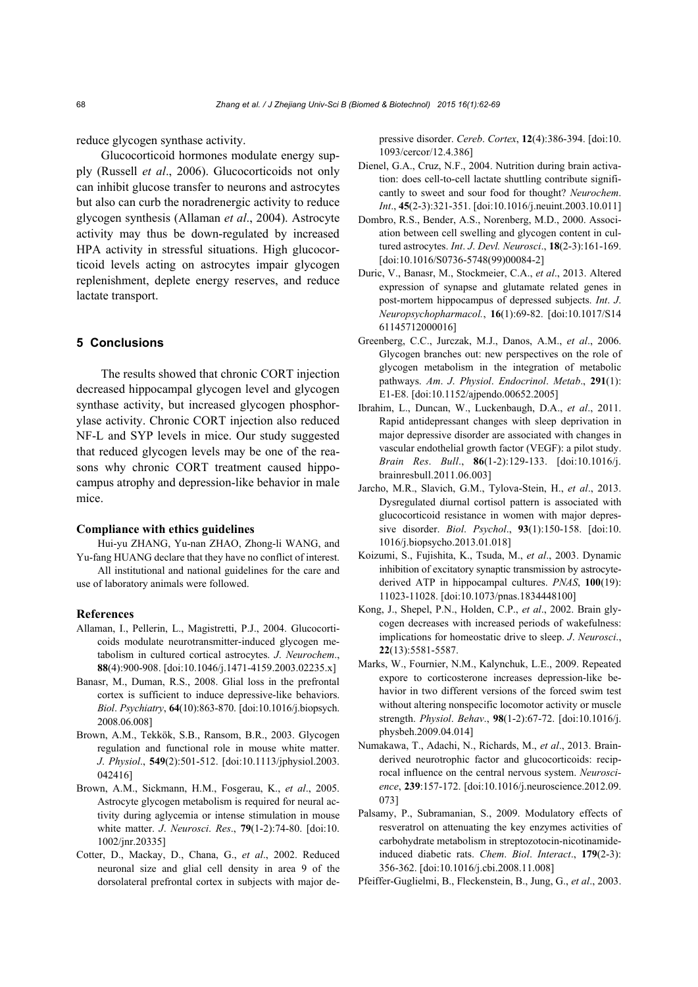reduce glycogen synthase activity.

Glucocorticoid hormones modulate energy supply (Russell *et al*., 2006). Glucocorticoids not only can inhibit glucose transfer to neurons and astrocytes but also can curb the noradrenergic activity to reduce glycogen synthesis (Allaman *et al*., 2004). Astrocyte activity may thus be down-regulated by increased HPA activity in stressful situations. High glucocorticoid levels acting on astrocytes impair glycogen replenishment, deplete energy reserves, and reduce lactate transport.

#### **5 Conclusions**

The results showed that chronic CORT injection decreased hippocampal glycogen level and glycogen synthase activity, but increased glycogen phosphorylase activity. Chronic CORT injection also reduced NF-L and SYP levels in mice. Our study suggested that reduced glycogen levels may be one of the reasons why chronic CORT treatment caused hippocampus atrophy and depression-like behavior in male mice.

#### **Compliance with ethics guidelines**

Hui-yu ZHANG, Yu-nan ZHAO, Zhong-li WANG, and Yu-fang HUANG declare that they have no conflict of interest. All institutional and national guidelines for the care and use of laboratory animals were followed.

#### **References**

- Allaman, I., Pellerin, L., Magistretti, P.J., 2004. Glucocorticoids modulate neurotransmitter-induced glycogen metabolism in cultured cortical astrocytes. *J*. *Neurochem*., **88**(4):900-908. [doi:10.1046/j.1471-4159.2003.02235.x]
- Banasr, M., Duman, R.S., 2008. Glial loss in the prefrontal cortex is sufficient to induce depressive-like behaviors. *Biol*. *Psychiatry*, **64**(10):863-870. [doi:10.1016/j.biopsych. 2008.06.008]
- Brown, A.M., Tekkök, S.B., Ransom, B.R., 2003. Glycogen regulation and functional role in mouse white matter. *J*. *Physiol*., **549**(2):501-512. [doi:10.1113/jphysiol.2003. 042416]
- Brown, A.M., Sickmann, H.M., Fosgerau, K., *et al*., 2005. Astrocyte glycogen metabolism is required for neural activity during aglycemia or intense stimulation in mouse white matter. *J*. *Neurosci*. *Res*., **79**(1-2):74-80. [doi:10. 1002/jnr.20335]
- Cotter, D., Mackay, D., Chana, G., *et al*., 2002. Reduced neuronal size and glial cell density in area 9 of the dorsolateral prefrontal cortex in subjects with major de-

pressive disorder. *Cereb*. *Cortex*, **12**(4):386-394. [doi:10. 1093/cercor/12.4.386]

- Dienel, G.A., Cruz, N.F., 2004. Nutrition during brain activation: does cell-to-cell lactate shuttling contribute significantly to sweet and sour food for thought? *Neurochem*. *Int*., **45**(2-3):321-351. [doi:10.1016/j.neuint.2003.10.011]
- Dombro, R.S., Bender, A.S., Norenberg, M.D., 2000. Association between cell swelling and glycogen content in cultured astrocytes. *Int*. *J*. *Devl. Neurosci*., **18**(2-3):161-169. [doi:10.1016/S0736-5748(99)00084-2]
- Duric, V., Banasr, M., Stockmeier, C.A., *et al*., 2013. Altered expression of synapse and glutamate related genes in post-mortem hippocampus of depressed subjects. *Int*. *J*. *Neuropsychopharmacol.*, **16**(1):69-82. [doi:10.1017/S14 61145712000016]
- Greenberg, C.C., Jurczak, M.J., Danos, A.M., *et al*., 2006. Glycogen branches out: new perspectives on the role of glycogen metabolism in the integration of metabolic pathways. *Am*. *J*. *Physiol*. *Endocrinol*. *Metab*., **291**(1): E1-E8. [doi:10.1152/ajpendo.00652.2005]
- Ibrahim, L., Duncan, W., Luckenbaugh, D.A., *et al*., 2011. Rapid antidepressant changes with sleep deprivation in major depressive disorder are associated with changes in vascular endothelial growth factor (VEGF): a pilot study. *Brain Res*. *Bull*., **86**(1-2):129-133. [doi:10.1016/j. brainresbull.2011.06.003]
- Jarcho, M.R., Slavich, G.M., Tylova-Stein, H., *et al*., 2013. Dysregulated diurnal cortisol pattern is associated with glucocorticoid resistance in women with major depressive disorder. *Biol*. *Psychol*., **93**(1):150-158. [doi:10. 1016/j.biopsycho.2013.01.018]
- Koizumi, S., Fujishita, K., Tsuda, M., *et al*., 2003. Dynamic inhibition of excitatory synaptic transmission by astrocytederived ATP in hippocampal cultures. *PNAS*, **100**(19): 11023-11028. [doi:10.1073/pnas.1834448100]
- Kong, J., Shepel, P.N., Holden, C.P., *et al*., 2002. Brain glycogen decreases with increased periods of wakefulness: implications for homeostatic drive to sleep. *J*. *Neurosci*., **22**(13):5581-5587.
- Marks, W., Fournier, N.M., Kalynchuk, L.E., 2009. Repeated expore to corticosterone increases depression-like behavior in two different versions of the forced swim test without altering nonspecific locomotor activity or muscle strength. *Physiol*. *Behav*., **98**(1-2):67-72. [doi:10.1016/j. physbeh.2009.04.014]
- Numakawa, T., Adachi, N., Richards, M., *et al*., 2013. Brainderived neurotrophic factor and glucocorticoids: reciprocal influence on the central nervous system. *Neuroscience*, **239**:157-172. [doi:10.1016/j.neuroscience.2012.09. 073]
- Palsamy, P., Subramanian, S., 2009. Modulatory effects of resveratrol on attenuating the key enzymes activities of carbohydrate metabolism in streptozotocin-nicotinamideinduced diabetic rats. *Chem*. *Biol*. *Interact*., **179**(2-3): 356-362. [doi:10.1016/j.cbi.2008.11.008]
- Pfeiffer-Guglielmi, B., Fleckenstein, B., Jung, G., *et al*., 2003.